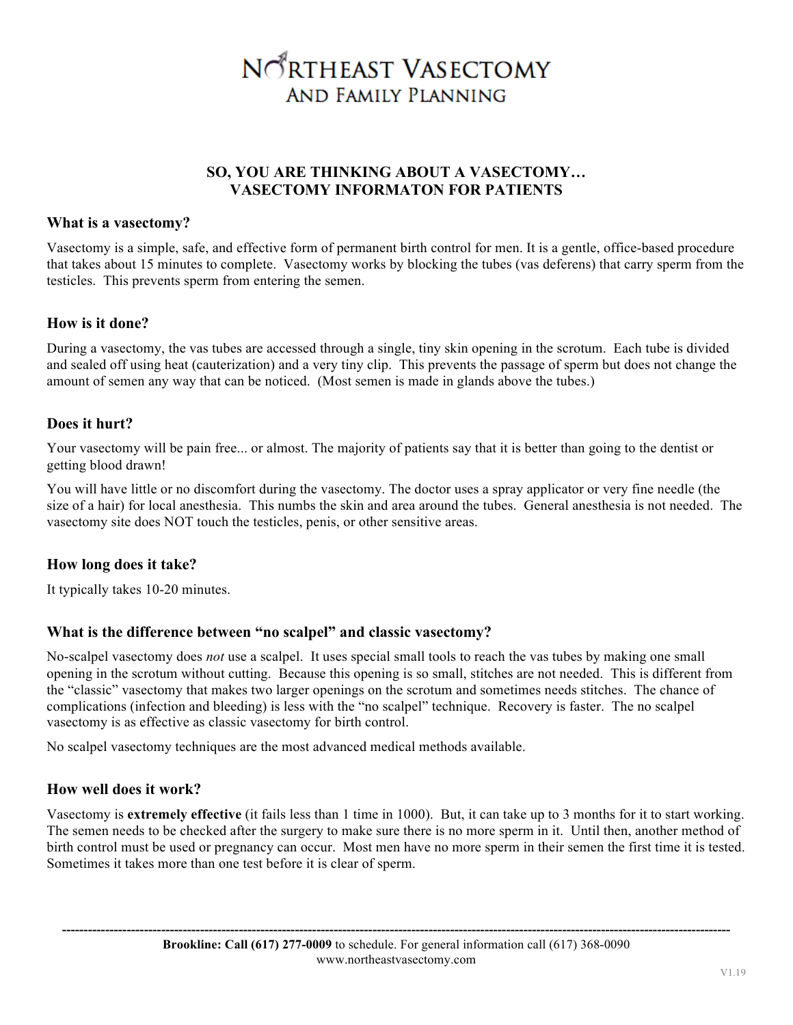# NORTHEAST VASECTOMY **AND FAMILY PLANNING**

## **SO, YOU ARE THINKING ABOUT A VASECTOMY… VASECTOMY INFORMATON FOR PATIENTS**

## **What is a vasectomy?**

Vasectomy is a simple, safe, and effective form of permanent birth control for men. It is a gentle, office-based procedure that takes about 15 minutes to complete.Vasectomy works by blocking the tubes (vas deferens) that carry sperm from the testicles. This prevents sperm from entering the semen.

## **How is it done?**

During a vasectomy, the vas tubes are accessed through a single, tiny skin opening in the scrotum. Each tube is divided and sealed off using heat (cauterization) and a very tiny clip. This prevents the passage of sperm but does not change the amount of semen any way that can be noticed. (Most semen is made in glands above the tubes.)

# **Does it hurt?**

Your vasectomy will be pain free... or almost. The majority of patients say that it is better than going to the dentist or getting blood drawn!

You will have little or no discomfort during the vasectomy. The doctor uses a spray applicator or very fine needle (the size of a hair) for local anesthesia. This numbs the skin and area around the tubes. General anesthesia is not needed. The vasectomy site does NOT touch the testicles, penis, or other sensitive areas.

# **How long does it take?**

It typically takes 10-20 minutes.

# **What is the difference between "no scalpel" and classic vasectomy?**

No-scalpel vasectomy does *not* use a scalpel. It uses special small tools to reach the vas tubes by making one small opening in the scrotum without cutting. Because this opening is so small, stitches are not needed. This is different from the "classic" vasectomy that makes two larger openings on the scrotum and sometimes needs stitches. The chance of complications (infection and bleeding) is less with the "no scalpel" technique. Recovery is faster. The no scalpel vasectomy is as effective as classic vasectomy for birth control.

No scalpel vasectomy techniques are the most advanced medical methods available.

# **How well does it work?**

Vasectomy is **extremely effective** (it fails less than 1 time in 1000). But, it can take up to 3 months for it to start working. The semen needs to be checked after the surgery to make sure there is no more sperm in it. Until then, another method of birth control must be used or pregnancy can occur. Most men have no more sperm in their semen the first time it is tested. Sometimes it takes more than one test before it is clear of sperm.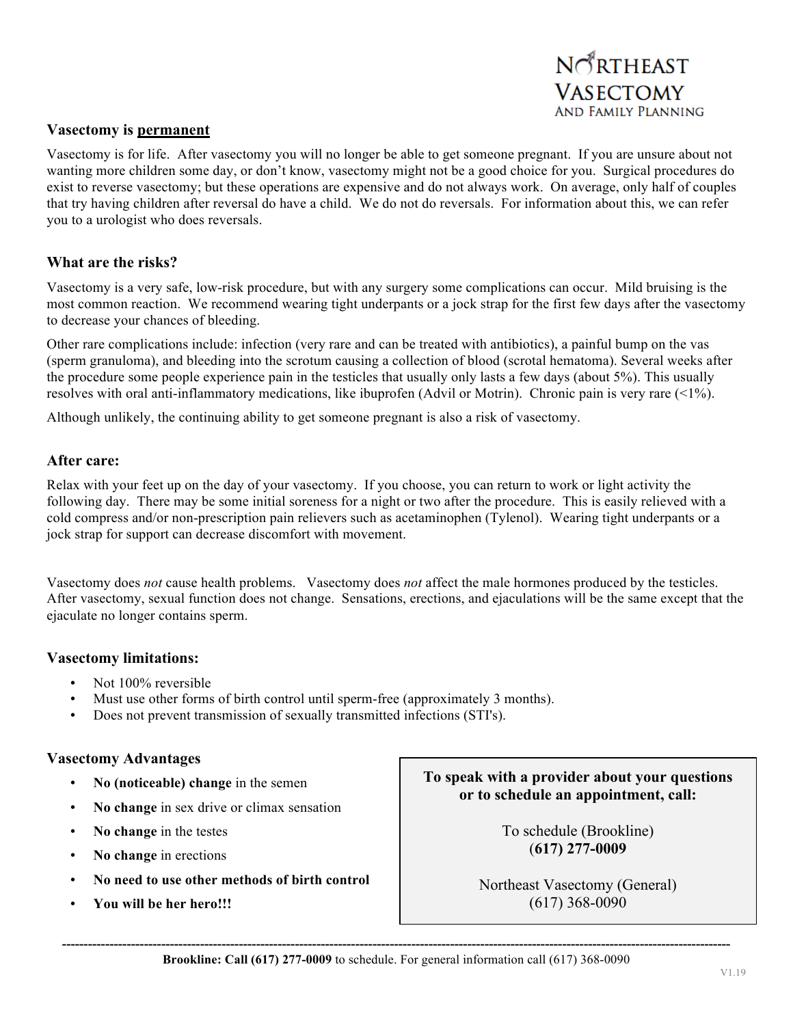

#### **Vasectomy is permanent**

Vasectomy is for life. After vasectomy you will no longer be able to get someone pregnant. If you are unsure about not wanting more children some day, or don't know, vasectomy might not be a good choice for you. Surgical procedures do exist to reverse vasectomy; but these operations are expensive and do not always work. On average, only half of couples that try having children after reversal do have a child. We do not do reversals. For information about this, we can refer you to a urologist who does reversals.

#### **What are the risks?**

Vasectomy is a very safe, low-risk procedure, but with any surgery some complications can occur. Mild bruising is the most common reaction. We recommend wearing tight underpants or a jock strap for the first few days after the vasectomy to decrease your chances of bleeding.

Other rare complications include: infection (very rare and can be treated with antibiotics), a painful bump on the vas (sperm granuloma), and bleeding into the scrotum causing a collection of blood (scrotal hematoma). Several weeks after the procedure some people experience pain in the testicles that usually only lasts a few days (about 5%). This usually resolves with oral anti-inflammatory medications, like ibuprofen (Advil or Motrin). Chronic pain is very rare (<1%).

Although unlikely, the continuing ability to get someone pregnant is also a risk of vasectomy.

#### **After care:**

Relax with your feet up on the day of your vasectomy. If you choose, you can return to work or light activity the following day. There may be some initial soreness for a night or two after the procedure. This is easily relieved with a cold compress and/or non-prescription pain relievers such as acetaminophen (Tylenol). Wearing tight underpants or a jock strap for support can decrease discomfort with movement.

Vasectomy does *not* cause health problems. Vasectomy does *not* affect the male hormones produced by the testicles. After vasectomy, sexual function does not change. Sensations, erections, and ejaculations will be the same except that the ejaculate no longer contains sperm.

#### **Vasectomy limitations:**

- Not 100% reversible
- Must use other forms of birth control until sperm-free (approximately 3 months).
- Does not prevent transmission of sexually transmitted infections (STI's).

#### **Vasectomy Advantages**

- **No (noticeable) change** in the semen
- **No change** in sex drive or climax sensation
- **No change** in the testes
- **No change** in erections
- **No need to use other methods of birth control**
- **You will be her hero!!!**

**To speak with a provider about your questions or to schedule an appointment, call:**

> To schedule (Brookline) (**617) 277-0009**

Northeast Vasectomy (General) (617) 368-0090